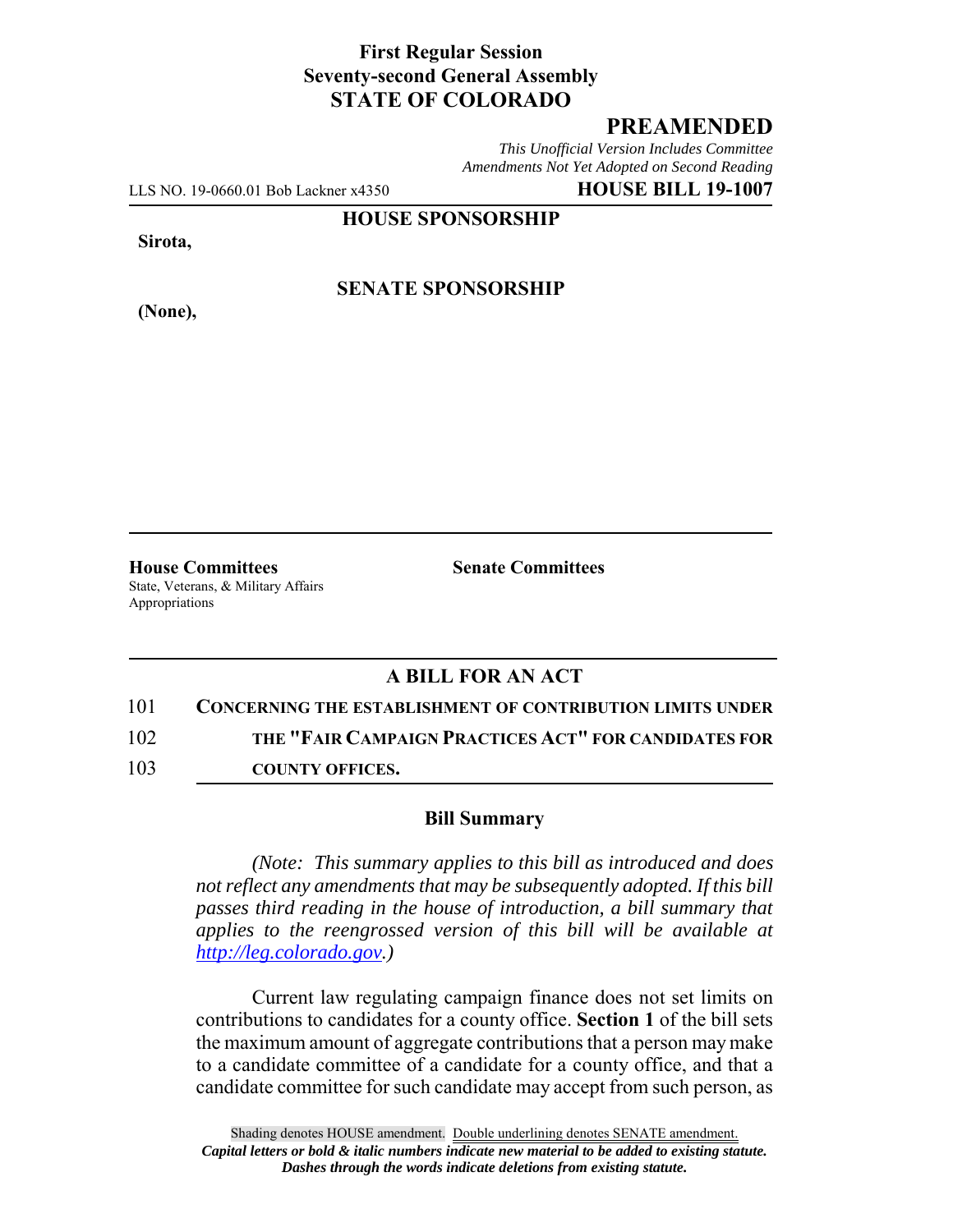## **First Regular Session Seventy-second General Assembly STATE OF COLORADO**

## **PREAMENDED**

*This Unofficial Version Includes Committee Amendments Not Yet Adopted on Second Reading*

LLS NO. 19-0660.01 Bob Lackner x4350 **HOUSE BILL 19-1007**

**HOUSE SPONSORSHIP**

**Sirota,**

**(None),**

**SENATE SPONSORSHIP**

**House Committees Senate Committees** State, Veterans, & Military Affairs Appropriations

## **A BILL FOR AN ACT**

101 **CONCERNING THE ESTABLISHMENT OF CONTRIBUTION LIMITS UNDER**

102 **THE "FAIR CAMPAIGN PRACTICES ACT" FOR CANDIDATES FOR**

103 **COUNTY OFFICES.**

## **Bill Summary**

*(Note: This summary applies to this bill as introduced and does not reflect any amendments that may be subsequently adopted. If this bill passes third reading in the house of introduction, a bill summary that applies to the reengrossed version of this bill will be available at http://leg.colorado.gov.)*

Current law regulating campaign finance does not set limits on contributions to candidates for a county office. **Section 1** of the bill sets the maximum amount of aggregate contributions that a person may make to a candidate committee of a candidate for a county office, and that a candidate committee for such candidate may accept from such person, as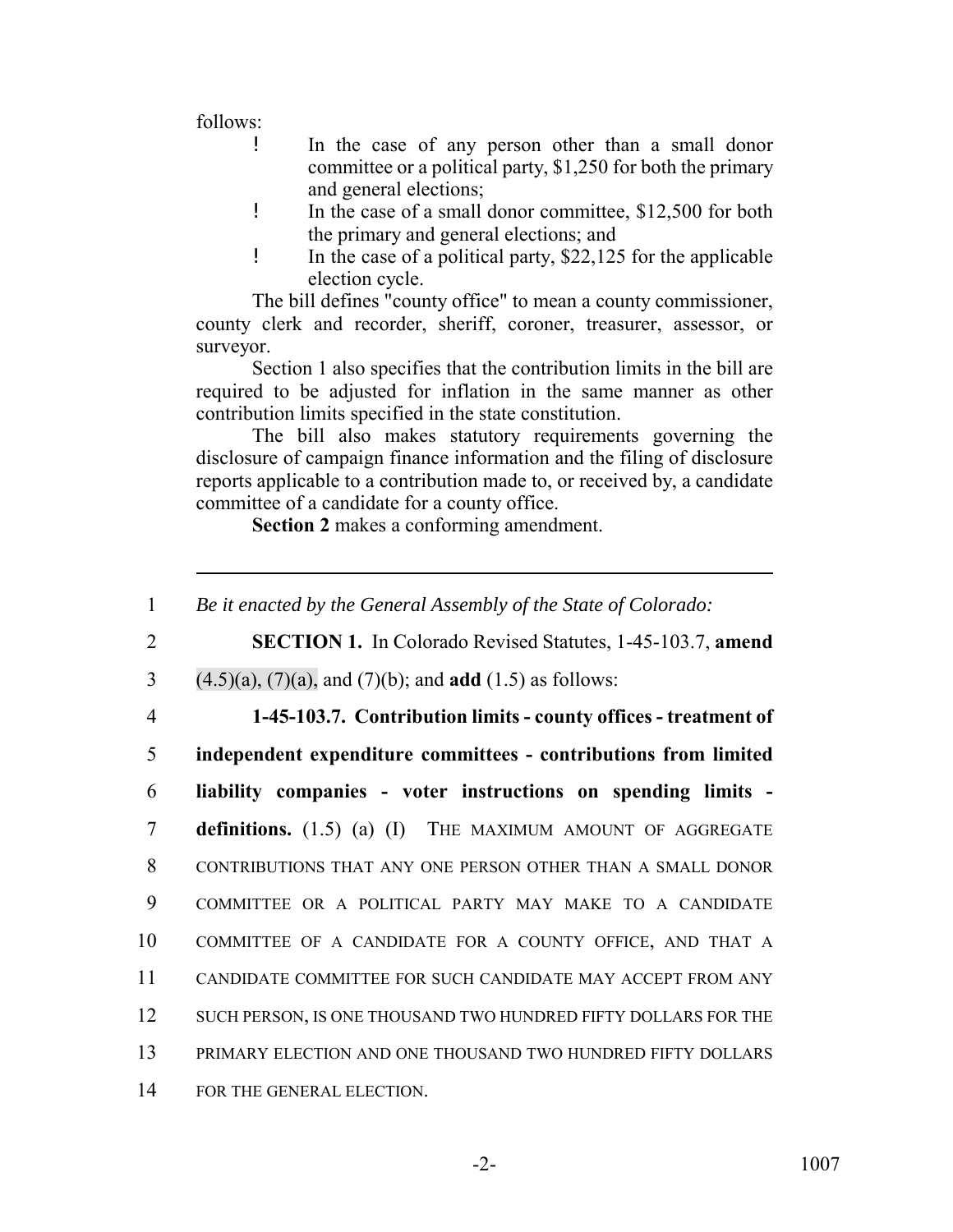follows:

- ! In the case of any person other than a small donor committee or a political party, \$1,250 for both the primary and general elections;
- ! In the case of a small donor committee, \$12,500 for both the primary and general elections; and
- ! In the case of a political party, \$22,125 for the applicable election cycle.

The bill defines "county office" to mean a county commissioner, county clerk and recorder, sheriff, coroner, treasurer, assessor, or surveyor.

Section 1 also specifies that the contribution limits in the bill are required to be adjusted for inflation in the same manner as other contribution limits specified in the state constitution.

The bill also makes statutory requirements governing the disclosure of campaign finance information and the filing of disclosure reports applicable to a contribution made to, or received by, a candidate committee of a candidate for a county office.

**Section 2** makes a conforming amendment.

 *Be it enacted by the General Assembly of the State of Colorado:* **SECTION 1.** In Colorado Revised Statutes, 1-45-103.7, **amend** (4.5)(a), (7)(a), and (7)(b); and **add** (1.5) as follows: **1-45-103.7. Contribution limits - county offices - treatment of independent expenditure committees - contributions from limited liability companies - voter instructions on spending limits - definitions.** (1.5) (a) (I) THE MAXIMUM AMOUNT OF AGGREGATE CONTRIBUTIONS THAT ANY ONE PERSON OTHER THAN A SMALL DONOR COMMITTEE OR A POLITICAL PARTY MAY MAKE TO A CANDIDATE COMMITTEE OF A CANDIDATE FOR A COUNTY OFFICE, AND THAT A CANDIDATE COMMITTEE FOR SUCH CANDIDATE MAY ACCEPT FROM ANY 12 SUCH PERSON, IS ONE THOUSAND TWO HUNDRED FIFTY DOLLARS FOR THE PRIMARY ELECTION AND ONE THOUSAND TWO HUNDRED FIFTY DOLLARS FOR THE GENERAL ELECTION.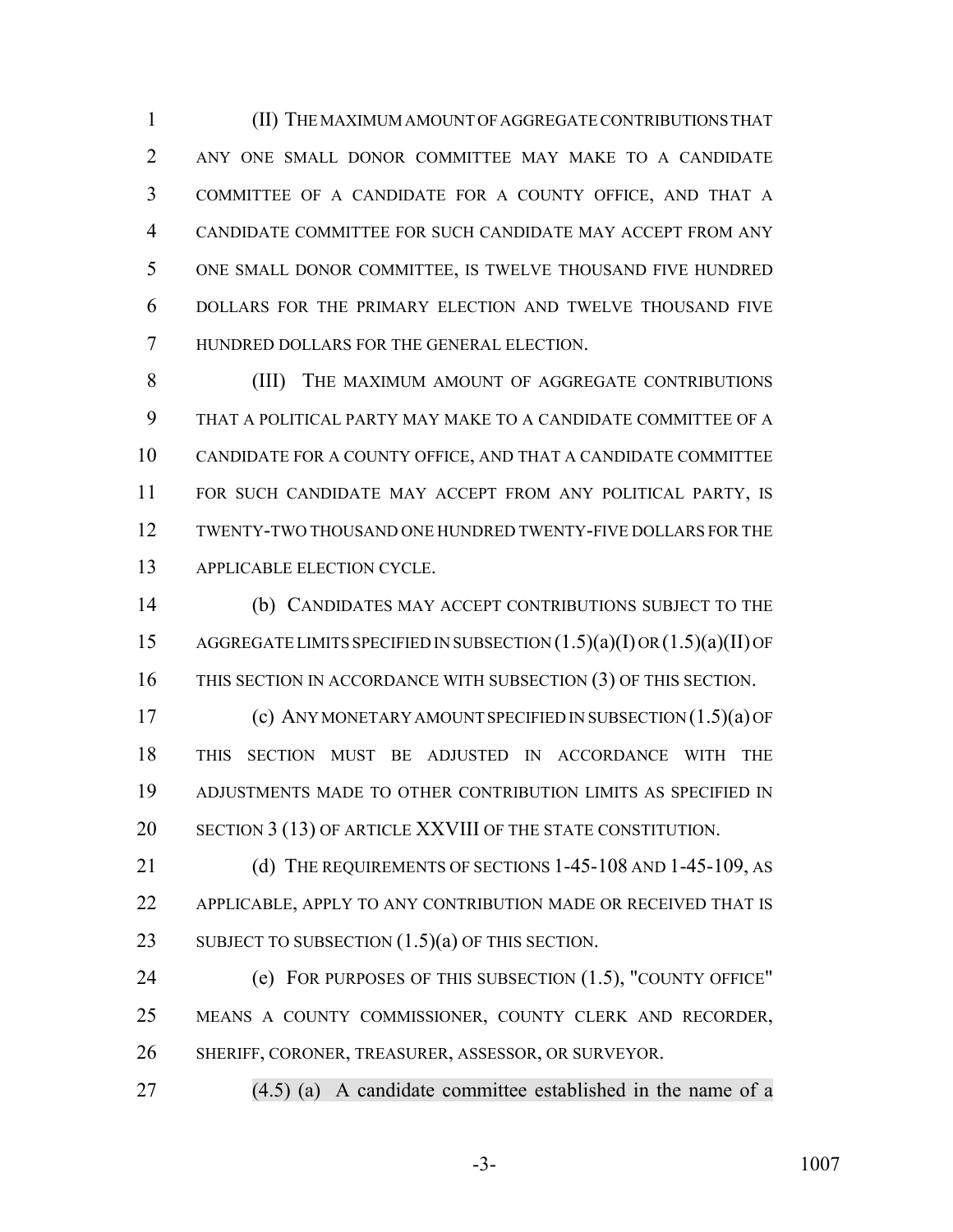(II) THE MAXIMUM AMOUNT OF AGGREGATE CONTRIBUTIONS THAT ANY ONE SMALL DONOR COMMITTEE MAY MAKE TO A CANDIDATE COMMITTEE OF A CANDIDATE FOR A COUNTY OFFICE, AND THAT A CANDIDATE COMMITTEE FOR SUCH CANDIDATE MAY ACCEPT FROM ANY ONE SMALL DONOR COMMITTEE, IS TWELVE THOUSAND FIVE HUNDRED DOLLARS FOR THE PRIMARY ELECTION AND TWELVE THOUSAND FIVE HUNDRED DOLLARS FOR THE GENERAL ELECTION.

 (III) THE MAXIMUM AMOUNT OF AGGREGATE CONTRIBUTIONS THAT A POLITICAL PARTY MAY MAKE TO A CANDIDATE COMMITTEE OF A CANDIDATE FOR A COUNTY OFFICE, AND THAT A CANDIDATE COMMITTEE FOR SUCH CANDIDATE MAY ACCEPT FROM ANY POLITICAL PARTY, IS TWENTY-TWO THOUSAND ONE HUNDRED TWENTY-FIVE DOLLARS FOR THE APPLICABLE ELECTION CYCLE.

 (b) CANDIDATES MAY ACCEPT CONTRIBUTIONS SUBJECT TO THE AGGREGATE LIMITS SPECIFIED IN SUBSECTION (1.5)(a)(I) OR (1.5)(a)(II) OF THIS SECTION IN ACCORDANCE WITH SUBSECTION (3) OF THIS SECTION.

 (c) ANY MONETARY AMOUNT SPECIFIED IN SUBSECTION (1.5)(a) OF THIS SECTION MUST BE ADJUSTED IN ACCORDANCE WITH THE ADJUSTMENTS MADE TO OTHER CONTRIBUTION LIMITS AS SPECIFIED IN 20 SECTION 3 (13) OF ARTICLE XXVIII OF THE STATE CONSTITUTION.

21 (d) THE REQUIREMENTS OF SECTIONS 1-45-108 AND 1-45-109, AS APPLICABLE, APPLY TO ANY CONTRIBUTION MADE OR RECEIVED THAT IS 23 SUBJECT TO SUBSECTION  $(1.5)(a)$  OF THIS SECTION.

 (e) FOR PURPOSES OF THIS SUBSECTION (1.5), "COUNTY OFFICE" MEANS A COUNTY COMMISSIONER, COUNTY CLERK AND RECORDER, SHERIFF, CORONER, TREASURER, ASSESSOR, OR SURVEYOR.

(4.5) (a) A candidate committee established in the name of a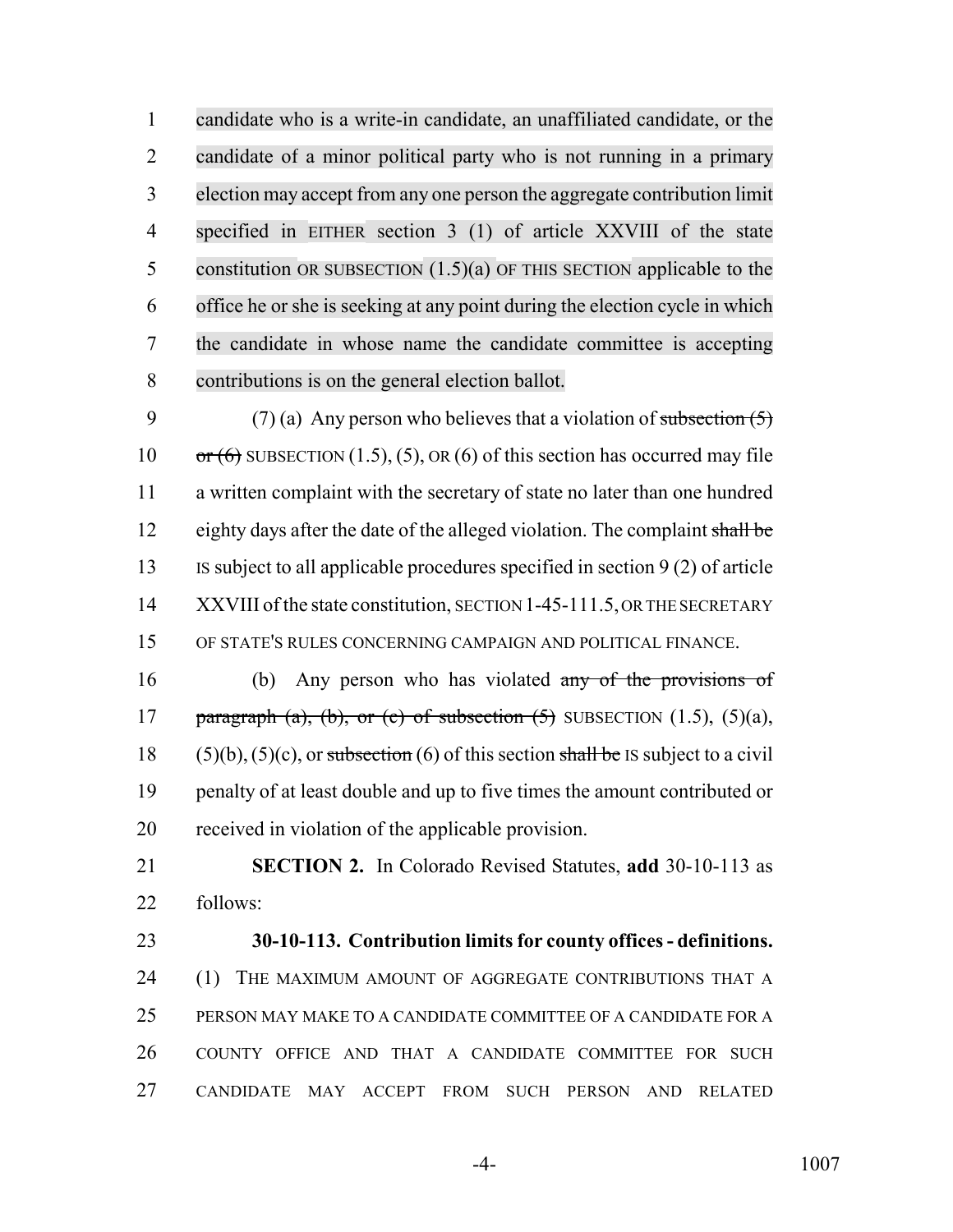candidate who is a write-in candidate, an unaffiliated candidate, or the candidate of a minor political party who is not running in a primary election may accept from any one person the aggregate contribution limit specified in EITHER section 3 (1) of article XXVIII of the state constitution OR SUBSECTION (1.5)(a) OF THIS SECTION applicable to the office he or she is seeking at any point during the election cycle in which the candidate in whose name the candidate committee is accepting contributions is on the general election ballot.

9 (7) (a) Any person who believes that a violation of subsection  $(5)$ 10  $\sigma$   $\tau$  (6) SUBSECTION (1.5), (5), OR (6) of this section has occurred may file a written complaint with the secretary of state no later than one hundred 12 eighty days after the date of the alleged violation. The complaint shall be IS subject to all applicable procedures specified in section 9 (2) of article 14 XXVIII of the state constitution, SECTION 1-45-111.5, OR THE SECRETARY OF STATE'S RULES CONCERNING CAMPAIGN AND POLITICAL FINANCE.

 (b) Any person who has violated any of the provisions of 17 paragraph (a), (b), or (c) of subsection  $(5)$  SUBSECTION  $(1.5)$ ,  $(5)(a)$ , 18 (5)(b), (5)(c), or subsection (6) of this section shall be IS subject to a civil penalty of at least double and up to five times the amount contributed or received in violation of the applicable provision.

 **SECTION 2.** In Colorado Revised Statutes, **add** 30-10-113 as follows:

 **30-10-113. Contribution limits for county offices - definitions.** 24 (1) THE MAXIMUM AMOUNT OF AGGREGATE CONTRIBUTIONS THAT A PERSON MAY MAKE TO A CANDIDATE COMMITTEE OF A CANDIDATE FOR A COUNTY OFFICE AND THAT A CANDIDATE COMMITTEE FOR SUCH CANDIDATE MAY ACCEPT FROM SUCH PERSON AND RELATED